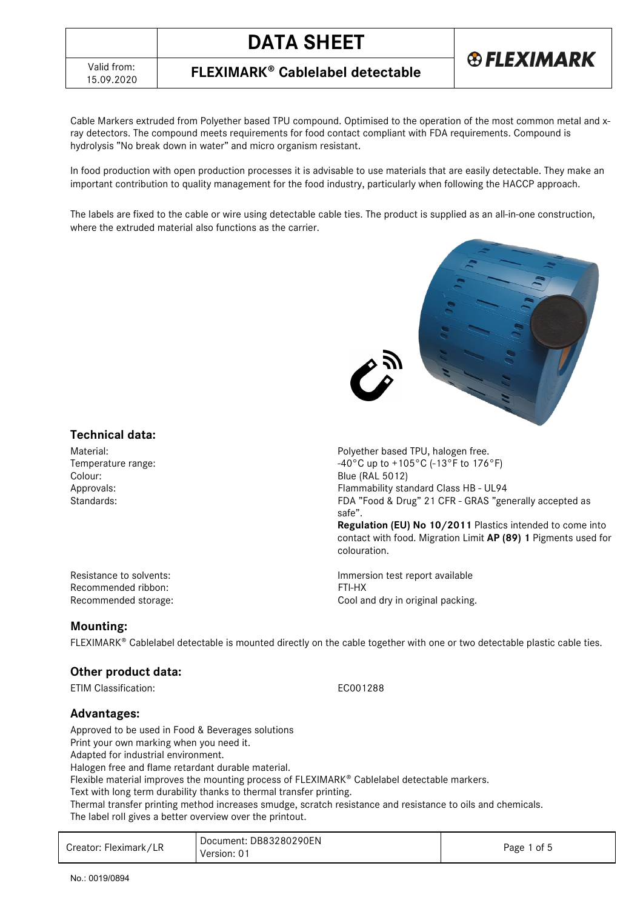

Cable Markers extruded from Polyether based TPU compound. Optimised to the operation of the most common metal and xray detectors. The compound meets requirements for food contact compliant with FDA requirements. Compound is hydrolysis "No break down in water" and micro organism resistant.

In food production with open production processes it is advisable to use materials that are easily detectable. They make an important contribution to quality management for the food industry, particularly when following the HACCP approach.

The labels are fixed to the cable or wire using detectable cable ties. The product is supplied as an all-in-one construction, where the extruded material also functions as the carrier.



**Regulation (EU) No 10/2011** Plastics intended to come into contact with food. Migration Limit **AP (89) 1** Pigments used for

# **Technical data:**

Material: Polyether based TPU, halogen free. Temperature range:  $-40^{\circ}$ C up to  $+105^{\circ}$ C (-13°F to 176°F) Colour: Blue (RAL 5012) Approvals: Flammability standard Class HB - UL94 Standards: Standards: Standards: Standards: FDA "Food & Drug" 21 CFR - GRAS "generally accepted as

Resistance to solvents:  $\blacksquare$ Recommended ribbon: FTI-HX Recommended storage:  $\qquad \qquad \qquad \qquad \qquad \qquad \qquad \qquad \qquad \qquad \text{Cool and dry in original packing.}$ 

### **Mounting:**

 $FLEXIMARK<sup>®</sup>$  Cablelabel detectable is mounted directly on the cable together with one or two detectable plastic cable ties.

safe".

colouration.

### **Other product data:**

ETIM Classification: EC001288

# **Advantages:**

Approved to be used in Food & Beverages solutions

Print your own marking when you need it.

Adapted for industrial environment.

Halogen free and flame retardant durable material.

Flexible material improves the mounting process of FLEXIMARK® Cablelabel detectable markers.

Text with long term durability thanks to thermal transfer printing.

Thermal transfer printing method increases smudge, scratch resistance and resistance to oils and chemicals. The label roll gives a better overview over the printout.

| Creator: Fleximark/LR | Document: DB83280290EN<br>Version: 01 | Page 1 of 5 |
|-----------------------|---------------------------------------|-------------|
|-----------------------|---------------------------------------|-------------|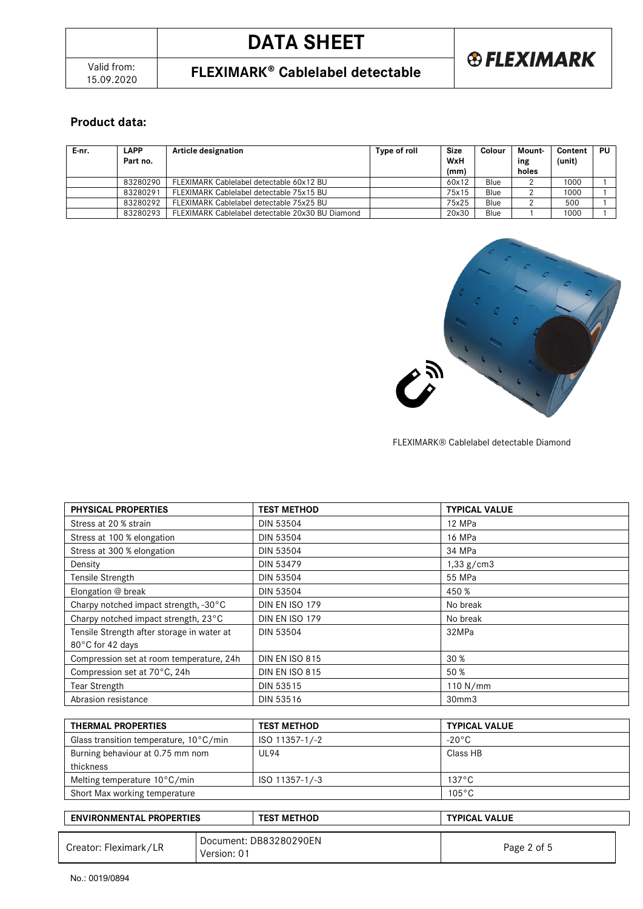# **DATA SHEET**



# 15.09.2020 **FLEXIMARK Cablelabel detectable**

# **Product data:**

| E-nr. | <b>LAPP</b><br>Part no. | Article designation                              | Type of roll | Size<br>WxH<br>(mm) | Colour | Mount-<br>ing<br>holes | Content<br>(unit) | PU |
|-------|-------------------------|--------------------------------------------------|--------------|---------------------|--------|------------------------|-------------------|----|
|       | 83280290                | FLEXIMARK Cablelabel detectable 60x12 BU         |              | 60x12               | Blue   |                        | 1000              |    |
|       | 83280291                | FLEXIMARK Cablelabel detectable 75x15 BU         |              | 75x15               | Blue   |                        | 1000              |    |
|       | 83280292                | FLEXIMARK Cablelabel detectable 75x25 BU         |              | 75x25               | Blue   |                        | 500               |    |
|       | 83280293                | FLEXIMARK Cablelabel detectable 20x30 BU Diamond |              | 20x30               | Blue   |                        | 1000              |    |



#### FLEXIMARK® Cablelabel detectable Diamond

| <b>PHYSICAL PROPERTIES</b>                 | <b>TEST METHOD</b>    | <b>TYPICAL VALUE</b> |
|--------------------------------------------|-----------------------|----------------------|
| Stress at 20 % strain                      | <b>DIN 53504</b>      | 12 MPa               |
| Stress at 100 % elongation                 | <b>DIN 53504</b>      | 16 MPa               |
| Stress at 300 % elongation                 | <b>DIN 53504</b>      | 34 MPa               |
| Density                                    | <b>DIN 53479</b>      | 1,33 g/cm3           |
| Tensile Strength                           | <b>DIN 53504</b>      | 55 MPa               |
| Elongation @ break                         | <b>DIN 53504</b>      | 450 %                |
| Charpy notched impact strength, -30°C      | DIN EN ISO 179        | No break             |
| Charpy notched impact strength, 23°C       | <b>DIN EN ISO 179</b> | No break             |
| Tensile Strength after storage in water at | <b>DIN 53504</b>      | 32MPa                |
| 80°C for 42 days                           |                       |                      |
| Compression set at room temperature, 24h   | <b>DIN EN ISO 815</b> | 30 %                 |
| Compression set at 70°C, 24h               | <b>DIN EN ISO 815</b> | 50 %                 |
| Tear Strength                              | DIN 53515             | 110 N/mm             |
| Abrasion resistance                        | DIN 53516             | 30mm3                |

| THERMAL PROPERTIES                     | <b>TEST METHOD</b> | <b>TYPICAL VALUE</b> |
|----------------------------------------|--------------------|----------------------|
| Glass transition temperature, 10°C/min | ISO 11357-1/-2     | $-20\degree$ C       |
| Burning behaviour at 0.75 mm nom       | <b>UL94</b>        | Class HB             |
| thickness                              |                    |                      |
| Melting temperature $10^{\circ}$ C/min | ISO 11357-1/-3     | $137^{\circ}$ C      |
| Short Max working temperature          |                    | $105^{\circ}$ C      |

| <b>ENVIRONMENTAL PROPERTIES</b> |                                       | <b>TEST METHOD</b> |  | <b>TYPICAL VALUE</b> |  |
|---------------------------------|---------------------------------------|--------------------|--|----------------------|--|
| Creator: Fleximark/LR           | Document: DB83280290EN<br>Version: 01 |                    |  | Page 2 of 5          |  |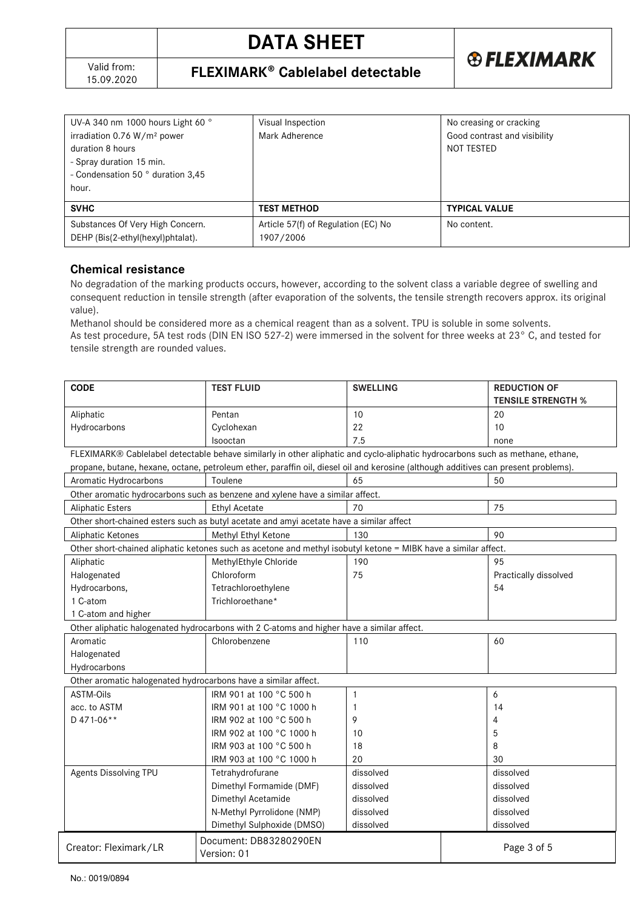

| UV-A 340 nm 1000 hours Light 60 °<br>irradiation $0.76 W/m2$ power<br>duration 8 hours<br>- Spray duration 15 min.<br>- Condensation 50 ° duration 3,45<br>hour. | Visual Inspection<br>Mark Adherence              | No creasing or cracking<br>Good contrast and visibility<br>NOT TESTED |
|------------------------------------------------------------------------------------------------------------------------------------------------------------------|--------------------------------------------------|-----------------------------------------------------------------------|
| <b>SVHC</b>                                                                                                                                                      | <b>TEST METHOD</b>                               | <b>TYPICAL VALUE</b>                                                  |
| Substances Of Very High Concern.<br>DEHP (Bis(2-ethyl(hexyl)phtalat).                                                                                            | Article 57(f) of Regulation (EC) No<br>1907/2006 | No content.                                                           |

## **Chemical resistance**

No degradation of the marking products occurs, however, according to the solvent class a variable degree of swelling and consequent reduction in tensile strength (after evaporation of the solvents, the tensile strength recovers approx. its original value).

Methanol should be considered more as a chemical reagent than as a solvent. TPU is soluble in some solvents. As test procedure, 5A test rods (DIN EN ISO 527-2) were immersed in the solvent for three weeks at 23° C, and tested for tensile strength are rounded values.

| <b>CODE</b>                                                                                                                        | <b>TEST FLUID</b>                                                                                                              | <b>SWELLING</b> |  | <b>REDUCTION OF</b>       |  |
|------------------------------------------------------------------------------------------------------------------------------------|--------------------------------------------------------------------------------------------------------------------------------|-----------------|--|---------------------------|--|
|                                                                                                                                    |                                                                                                                                |                 |  | <b>TENSILE STRENGTH %</b> |  |
| Aliphatic                                                                                                                          | Pentan                                                                                                                         | 10              |  | 20                        |  |
| Hydrocarbons                                                                                                                       | Cyclohexan                                                                                                                     | 22              |  | 10                        |  |
|                                                                                                                                    | Isooctan                                                                                                                       | 7.5             |  | none                      |  |
|                                                                                                                                    | FLEXIMARK® Cablelabel detectable behave similarly in other aliphatic and cyclo-aliphatic hydrocarbons such as methane, ethane, |                 |  |                           |  |
| propane, butane, hexane, octane, petroleum ether, paraffin oil, diesel oil and kerosine (although additives can present problems). |                                                                                                                                |                 |  |                           |  |
| Aromatic Hydrocarbons                                                                                                              | Toulene                                                                                                                        | 65              |  | 50                        |  |
|                                                                                                                                    | Other aromatic hydrocarbons such as benzene and xylene have a similar affect.                                                  |                 |  |                           |  |
| <b>Aliphatic Esters</b>                                                                                                            | <b>Ethyl Acetate</b>                                                                                                           | 70              |  | 75                        |  |
|                                                                                                                                    | Other short-chained esters such as butyl acetate and amyi acetate have a similar affect                                        |                 |  |                           |  |
| Aliphatic Ketones                                                                                                                  | Methyl Ethyl Ketone                                                                                                            | 130             |  | 90                        |  |
|                                                                                                                                    | Other short-chained aliphatic ketones such as acetone and methyl isobutyl ketone = MIBK have a similar affect.                 |                 |  |                           |  |
| Aliphatic                                                                                                                          | MethylEthyle Chloride                                                                                                          | 190             |  | 95                        |  |
| Halogenated                                                                                                                        | Chloroform                                                                                                                     | 75              |  | Practically dissolved     |  |
| Hydrocarbons,                                                                                                                      | Tetrachloroethylene                                                                                                            |                 |  | 54                        |  |
| 1 C-atom                                                                                                                           | Trichloroethane*                                                                                                               |                 |  |                           |  |
| 1 C-atom and higher                                                                                                                |                                                                                                                                |                 |  |                           |  |
|                                                                                                                                    | Other aliphatic halogenated hydrocarbons with 2 C-atoms and higher have a similar affect.                                      |                 |  |                           |  |
| Aromatic                                                                                                                           | Chlorobenzene                                                                                                                  | 110             |  | 60                        |  |
| Halogenated                                                                                                                        |                                                                                                                                |                 |  |                           |  |
| Hydrocarbons                                                                                                                       |                                                                                                                                |                 |  |                           |  |
| Other aromatic halogenated hydrocarbons have a similar affect.                                                                     |                                                                                                                                |                 |  |                           |  |
| <b>ASTM-Oils</b>                                                                                                                   | IRM 901 at 100 °C 500 h                                                                                                        | 1               |  | 6                         |  |
| acc. to ASTM                                                                                                                       | IRM 901 at 100 °C 1000 h                                                                                                       | 1               |  | 14                        |  |
| D 471-06**                                                                                                                         | IRM 902 at 100 °C 500 h                                                                                                        | 9               |  | 4                         |  |
|                                                                                                                                    | IRM 902 at 100 °C 1000 h                                                                                                       | 10              |  | 5                         |  |
|                                                                                                                                    | IRM 903 at 100 °C 500 h                                                                                                        | 18              |  | 8                         |  |
|                                                                                                                                    | IRM 903 at 100 °C 1000 h                                                                                                       | 20              |  | 30                        |  |
| Agents Dissolving TPU                                                                                                              | Tetrahydrofurane                                                                                                               | dissolved       |  | dissolved                 |  |
|                                                                                                                                    | Dimethyl Formamide (DMF)                                                                                                       | dissolved       |  | dissolved                 |  |
|                                                                                                                                    | Dimethyl Acetamide                                                                                                             | dissolved       |  | dissolved                 |  |
|                                                                                                                                    | N-Methyl Pyrrolidone (NMP)                                                                                                     | dissolved       |  | dissolved                 |  |
|                                                                                                                                    | Dimethyl Sulphoxide (DMSO)                                                                                                     | dissolved       |  | dissolved                 |  |
|                                                                                                                                    | Document: DB83280290EN                                                                                                         |                 |  |                           |  |
| Creator: Fleximark/LR                                                                                                              | Version: 01                                                                                                                    |                 |  | Page 3 of 5               |  |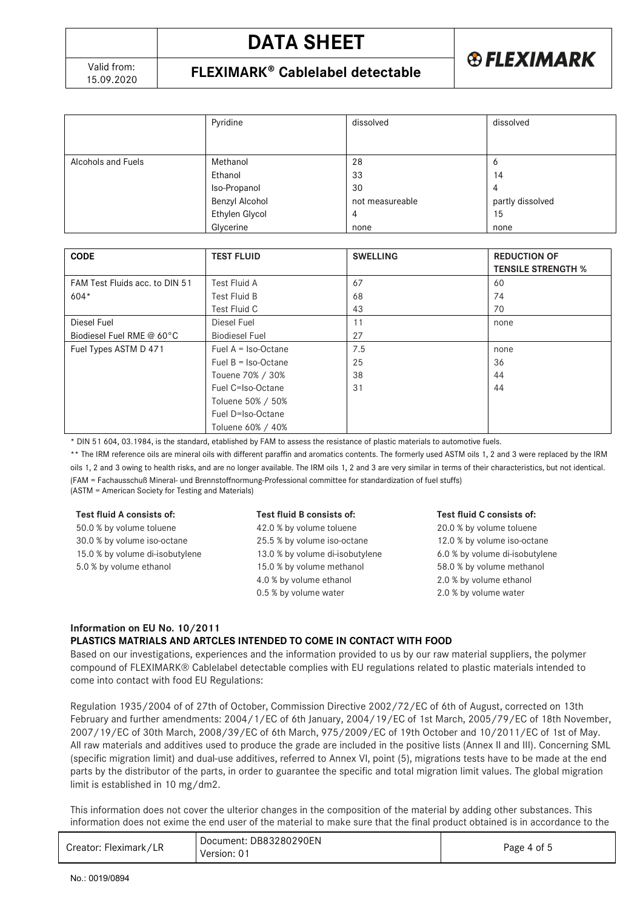

|                    | Pyridine       | dissolved       | dissolved        |
|--------------------|----------------|-----------------|------------------|
|                    |                |                 |                  |
| Alcohols and Fuels | Methanol       | 28              | O                |
|                    | Ethanol        | 33              | 14               |
|                    | Iso-Propanol   | 30              | 4                |
|                    | Benzyl Alcohol | not measureable | partly dissolved |
|                    | Ethylen Glycol | 4               | 15               |
|                    | Glycerine      | none            | none             |

| <b>CODE</b>                    | <b>TEST FLUID</b>     | <b>SWELLING</b> | <b>REDUCTION OF</b><br><b>TENSILE STRENGTH %</b> |
|--------------------------------|-----------------------|-----------------|--------------------------------------------------|
| FAM Test Fluids acc. to DIN 51 | Test Fluid A          | 67              | 60                                               |
| $604*$                         | Test Fluid B          | 68              | 74                                               |
|                                | Test Fluid C          | 43              | 70                                               |
| Diesel Fuel                    | Diesel Fuel           | 11              | none                                             |
| Biodiesel Fuel RME @ 60°C      | <b>Biodiesel Fuel</b> | 27              |                                                  |
| Fuel Types ASTM D 471          | Fuel $A = Iso-Octane$ | 7.5             | none                                             |
|                                | Fuel $B = Iso-Octane$ | 25              | 36                                               |
|                                | Touene 70% / 30%      | 38              | 44                                               |
|                                | Fuel C=Iso-Octane     | 31              | 44                                               |
|                                | Toluene 50% / 50%     |                 |                                                  |
|                                | Fuel D=Iso-Octane     |                 |                                                  |
|                                | Toluene 60% / 40%     |                 |                                                  |

\* DIN 51 604, 03.1984, is the standard, etablished by FAM to assess the resistance of plastic materials to automotive fuels.

\*\* The IRM reference oils are mineral oils with different paraffin and aromatics contents. The formerly used ASTM oils 1, 2 and 3 were replaced by the IRM oils 1, 2 and 3 owing to health risks, and are no longer available. The IRM oils 1, 2 and 3 are very similar in terms of their characteristics, but not identical. (FAM = Fachausschuß Mineral- und Brennstoffnormung-Professional committee for standardization of fuel stuffs) (ASTM = American Society for Testing and Materials)

#### **Test fluid A consists of:**

50.0 % by volume toluene 30.0 % by volume iso-octane 15.0 % by volume di-isobutylene 5.0 % by volume ethanol

#### **Test fluid B consists of:**

42.0 % by volume toluene 25.5 % by volume iso-octane 13.0 % by volume di-isobutylene 15.0 % by volume methanol 4.0 % by volume ethanol 0.5 % by volume water

#### **Test fluid C consists of:**

20.0 % by volume toluene 12.0 % by volume iso-octane 6.0 % by volume di-isobutylene 58.0 % by volume methanol 2.0 % by volume ethanol 2.0 % by volume water

### **Information on EU No. 10/2011 PLASTICS MATRIALS AND ARTCLES INTENDED TO COME IN CONTACT WITH FOOD**

Based on our investigations, experiences and the information provided to us by our raw material suppliers, the polymer compound of FLEXIMARK® Cablelabel detectable complies with EU regulations related to plastic materials intended to come into contact with food EU Regulations:

Regulation 1935/2004 of of 27th of October, Commission Directive 2002/72/EC of 6th of August, corrected on 13th February and further amendments: 2004/1/EC of 6th January, 2004/19/EC of 1st March, 2005/79/EC of 18th November, 2007/19/EC of 30th March, 2008/39/EC of 6th March, 975/2009/EC of 19th October and 10/2011/EC of 1st of May. All raw materials and additives used to produce the grade are included in the positive lists (Annex II and III). Concerning SML (specific migration limit) and dual-use additives, referred to Annex VI, point (5), migrations tests have to be made at the end parts by the distributor of the parts, in order to guarantee the specific and total migration limit values. The global migration limit is established in 10 mg/dm2.

This information does not cover the ulterior changes in the composition of the material by adding other substances. This information does not exime the end user of the material to make sure that the final product obtained is in accordance to the

| Document: DB83280290EN<br>Creator: Fleximark/LR<br>Version: 01 | Page 4 of 5 |
|----------------------------------------------------------------|-------------|
|----------------------------------------------------------------|-------------|